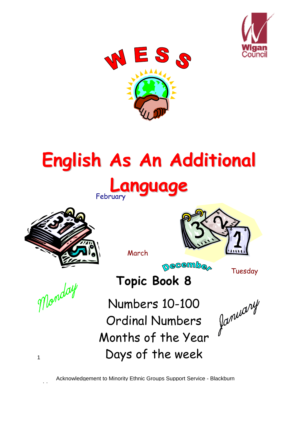



# **English As An Additional**







March

**necembe** 

Tuesday

Monday

1

**Topic Book 8** Numbers 10-100

Ordinal Numbers Ordinal Numbers family of the Year Days of the week

Acknowledgement to Minority Ethnic Groups Support Service - Blackburn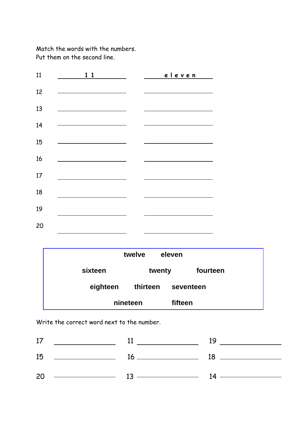Match the words with the numbers. Put them on the second line.

| 11     | 11 | eleven |
|--------|----|--------|
| 12     |    |        |
| 13     |    |        |
| 14     |    |        |
| 15     |    |        |
| 16     |    |        |
| $17\,$ |    |        |
| 18     |    |        |
| 19     |    |        |
| 20     |    |        |

|          | twelve   | eleven    |
|----------|----------|-----------|
| sixteen  | twenty   | fourteen  |
| eighteen | thirteen | seventeen |
|          | nineteen | fifteen   |

Write the correct word next to the number.

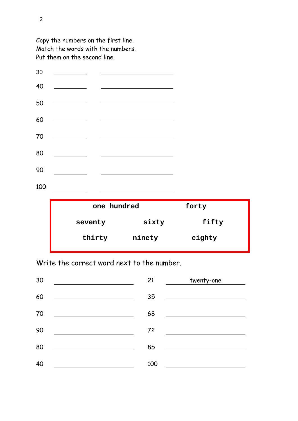

Write the correct word next to the number.

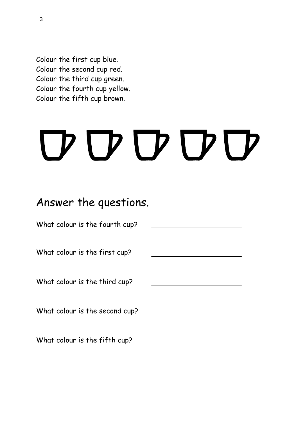Colour the first cup blue. Colour the second cup red. Colour the third cup green. Colour the fourth cup yellow. Colour the fifth cup brown.

# D D D D D

### Answer the questions.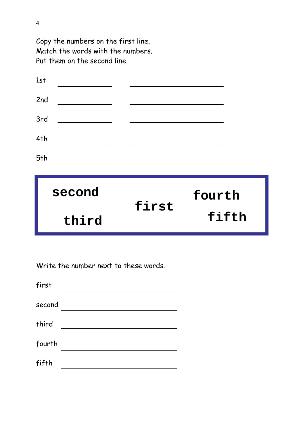| 1st    |       |        |
|--------|-------|--------|
| 2nd    |       |        |
| 3rd    |       |        |
| 4th    |       |        |
| 5th    |       |        |
|        |       |        |
| second |       | fourth |
| third  | first | fifth  |

Write the number next to these words.

| first  |  |
|--------|--|
| second |  |
| third  |  |
| fourth |  |
| fifth  |  |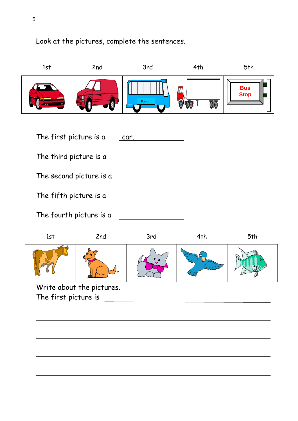

#### Look at the pictures, complete the sentences.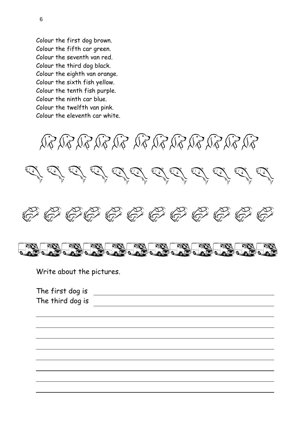Colour the first dog brown. Colour the fifth car green. Colour the seventh van red. Colour the third dog black. Colour the eighth van orange. Colour the sixth fish yellow. Colour the tenth fish purple. Colour the ninth car blue. Colour the twelfth van pink. Colour the eleventh car white.







Write about the pictures.

The first dog is The third dog is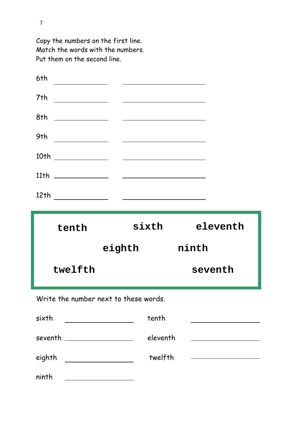|                                       | <u> 1989 - Johann John Stein, markin fan de Amerikaansk kommunister (</u> |                                                     |
|---------------------------------------|---------------------------------------------------------------------------|-----------------------------------------------------|
| 7th                                   |                                                                           |                                                     |
|                                       |                                                                           |                                                     |
|                                       |                                                                           |                                                     |
|                                       |                                                                           |                                                     |
|                                       |                                                                           |                                                     |
|                                       |                                                                           |                                                     |
|                                       |                                                                           |                                                     |
| tenth                                 | sixth                                                                     | eleventh                                            |
|                                       | eighth                                                                    | ninth                                               |
| twelfth                               |                                                                           | seventh                                             |
| Write the number next to these words. |                                                                           |                                                     |
| sixth                                 | tenth                                                                     | <u> 1980 - Johann Barbara, martxa alemaniar a</u>   |
| seventh ________________              | eleventh                                                                  | <u> 1990 - Johann Barbara, martxa eta politikar</u> |

ninth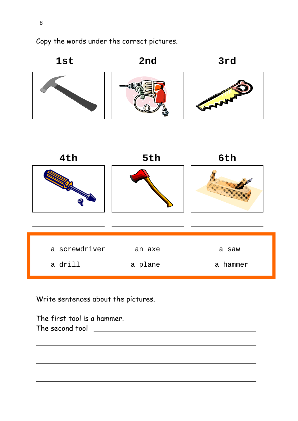Copy the words under the correct pictures.



Write sentences about the pictures.

The first tool is a hammer. The second tool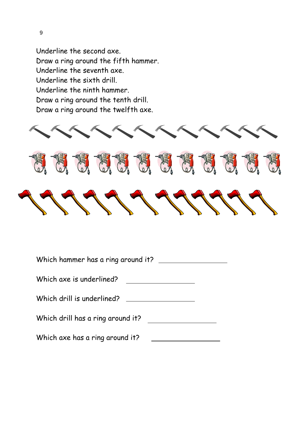Underline the second axe. Draw a ring around the fifth hammer. Underline the seventh axe. Underline the sixth drill. Underline the ninth hammer. Draw a ring around the tenth drill. Draw a ring around the twelfth axe.



| Which hammer has a ring around it? |  |
|------------------------------------|--|
| Which axe is underlined?           |  |
| Which drill is underlined?         |  |
| Which drill has a ring around it?  |  |
| Which axe has a ring around it?    |  |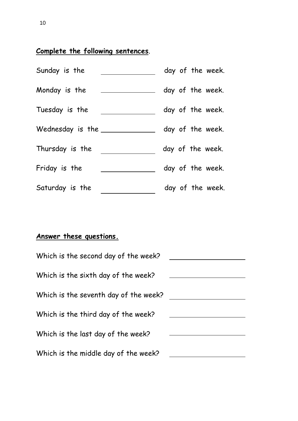#### **Complete the following sentences**.

| Sunday is the         | day of the week. |
|-----------------------|------------------|
| Monday is the         | day of the week. |
| Tuesday is the        | day of the week. |
| Wednesday is the $\_$ | day of the week. |
| Thursday is the       | day of the week. |
| Friday is the         | day of the week. |
| Saturday is the       | day of the week. |

#### **Answer these questions.**

| Which is the second day of the week?  |  |
|---------------------------------------|--|
| Which is the sixth day of the week?   |  |
| Which is the seventh day of the week? |  |
| Which is the third day of the week?   |  |
| Which is the last day of the week?    |  |
| Which is the middle day of the week?  |  |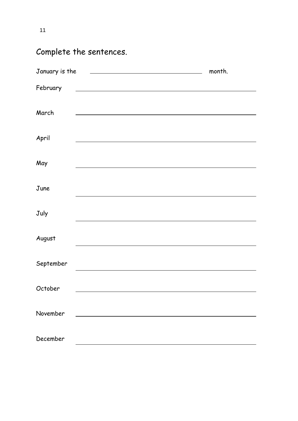11

## Complete the sentences.

| January is the | <u>and the state of the state of the state of the state of the state of the state of the state of the state of the state of the state of the state of the state of the state of the state of the state of the state of the state</u> | month. |
|----------------|--------------------------------------------------------------------------------------------------------------------------------------------------------------------------------------------------------------------------------------|--------|
| February       | <u> 1989 - Johann Barn, mars ann an t-Amhain Aonaich an t-Aonaich an t-Aonaich an t-Aonaich an t-Aonaich ann an t-</u>                                                                                                               |        |
| March          |                                                                                                                                                                                                                                      |        |
| April          |                                                                                                                                                                                                                                      |        |
| May            |                                                                                                                                                                                                                                      |        |
| June           |                                                                                                                                                                                                                                      |        |
| July           |                                                                                                                                                                                                                                      |        |
| August         |                                                                                                                                                                                                                                      |        |
| September      |                                                                                                                                                                                                                                      |        |
| October        |                                                                                                                                                                                                                                      |        |
| November       | <u> 1980 - Johann Barn, fransk politik (d. 1980)</u>                                                                                                                                                                                 |        |
| December       |                                                                                                                                                                                                                                      |        |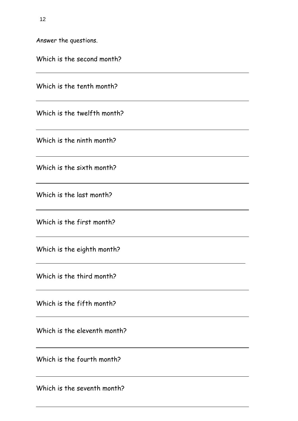Answer the questions.

| Which is the second month?   |
|------------------------------|
| Which is the tenth month?    |
| Which is the twelfth month?  |
| Which is the ninth month?    |
| Which is the sixth month?    |
| Which is the last month?     |
| Which is the first month?    |
| Which is the eighth month?   |
| Which is the third month?    |
| Which is the fifth month?    |
| Which is the eleventh month? |
| Which is the fourth month?   |
|                              |

Which is the seventh month?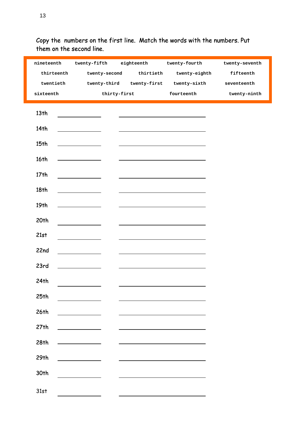| nineteenth       |                                                                                                                      |                                                                                                                                                                                                                               | twenty-fifth eighteenth twenty-fourth  | twenty-seventh |
|------------------|----------------------------------------------------------------------------------------------------------------------|-------------------------------------------------------------------------------------------------------------------------------------------------------------------------------------------------------------------------------|----------------------------------------|----------------|
| thirteenth       |                                                                                                                      | twenty-second thirtieth                                                                                                                                                                                                       | twenty-eighth                          | fifteenth      |
| twentieth        |                                                                                                                      |                                                                                                                                                                                                                               | twenty-third twenty-first twenty-sixth | seventeenth    |
| sixteenth        |                                                                                                                      | thirty-first                                                                                                                                                                                                                  | fourteenth                             | twenty-ninth   |
|                  |                                                                                                                      |                                                                                                                                                                                                                               |                                        |                |
| 13 <sub>th</sub> |                                                                                                                      | <u> 1989 - Johann Stein, markin fan it ferstjer fan de ferstjer fan it ferstjer fan de ferstjer fan de ferstjer</u>                                                                                                           |                                        |                |
| 14th             | the control of the control of the                                                                                    |                                                                                                                                                                                                                               |                                        |                |
| 15 <sub>th</sub> | <u> 1980 - Johann Barbara, martin a</u>                                                                              | <u> 1989 - Johann Harry Harry Harry Harry Harry Harry Harry Harry Harry Harry Harry Harry Harry Harry Harry Harry</u>                                                                                                         |                                        |                |
| 16th             | <u> 1989 - Johann Barn, fransk politik (</u>                                                                         | <u> 1989 - Johann Barn, mars ann an t-</u>                                                                                                                                                                                    |                                        |                |
| 17 <sub>th</sub> | $\overline{\phantom{a}}$ and $\overline{\phantom{a}}$ and $\overline{\phantom{a}}$                                   | <u> 1989 - Andrea Stadt Britain, amerikansk politiker (</u>                                                                                                                                                                   |                                        |                |
| 18th             |                                                                                                                      | <u> 1989 - Johann Barn, fransk politik (d. 1989)</u>                                                                                                                                                                          |                                        |                |
| 19 <sub>th</sub> | <u> 1990 - Johann Barbara, politik eta politik eta politik eta politik eta politik eta politik eta politik eta p</u> | the control of the control of the control of the control of the control of the control of                                                                                                                                     |                                        |                |
| 20 <sup>th</sup> | $\overline{\phantom{a}}$ . The contract of $\overline{\phantom{a}}$                                                  |                                                                                                                                                                                                                               |                                        |                |
| 21st             |                                                                                                                      | the control of the control of the control of the control of the control of the control of the control of the control of the control of the control of the control of the control of the control of the control of the control |                                        |                |
| 22nd             | <u> 1990 - Jan Albert III, politik politik (</u>                                                                     |                                                                                                                                                                                                                               |                                        |                |
| 23rd             | $\overline{\phantom{a}}$ and $\overline{\phantom{a}}$                                                                |                                                                                                                                                                                                                               |                                        |                |
| 24th             |                                                                                                                      |                                                                                                                                                                                                                               |                                        |                |
| 25th             |                                                                                                                      |                                                                                                                                                                                                                               |                                        |                |
| 26th             | the control of the control of the                                                                                    |                                                                                                                                                                                                                               |                                        |                |
| 27th             |                                                                                                                      |                                                                                                                                                                                                                               |                                        |                |
| 28th             |                                                                                                                      |                                                                                                                                                                                                                               |                                        |                |
| 29th             |                                                                                                                      |                                                                                                                                                                                                                               |                                        |                |
| 30th             |                                                                                                                      |                                                                                                                                                                                                                               |                                        |                |
| 31st             |                                                                                                                      |                                                                                                                                                                                                                               |                                        |                |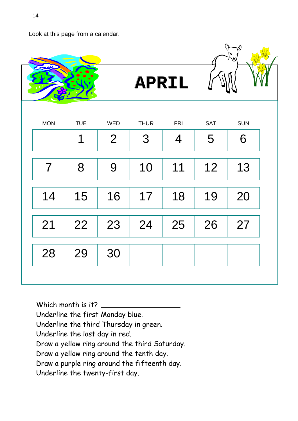Look at this page from a calendar.



Which month is it? Underline the first Monday blue. Underline the third Thursday in green. Underline the last day in red. Draw a yellow ring around the third Saturday. Draw a yellow ring around the tenth day. Draw a purple ring around the fifteenth day. Underline the twenty-first day.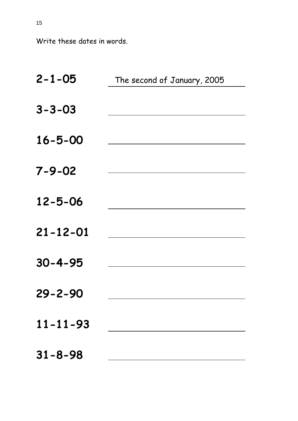Write these dates in words.

| $2 - 1 - 05$   | The second of January, 2005 |  |
|----------------|-----------------------------|--|
| $3 - 3 - 03$   |                             |  |
| $16 - 5 - 00$  |                             |  |
| $7 - 9 - 02$   |                             |  |
| $12 - 5 - 06$  |                             |  |
| $21 - 12 - 01$ |                             |  |
| $30 - 4 - 95$  |                             |  |
| $29 - 2 - 90$  |                             |  |
| $11 - 11 - 93$ |                             |  |
| $31 - 8 - 98$  |                             |  |